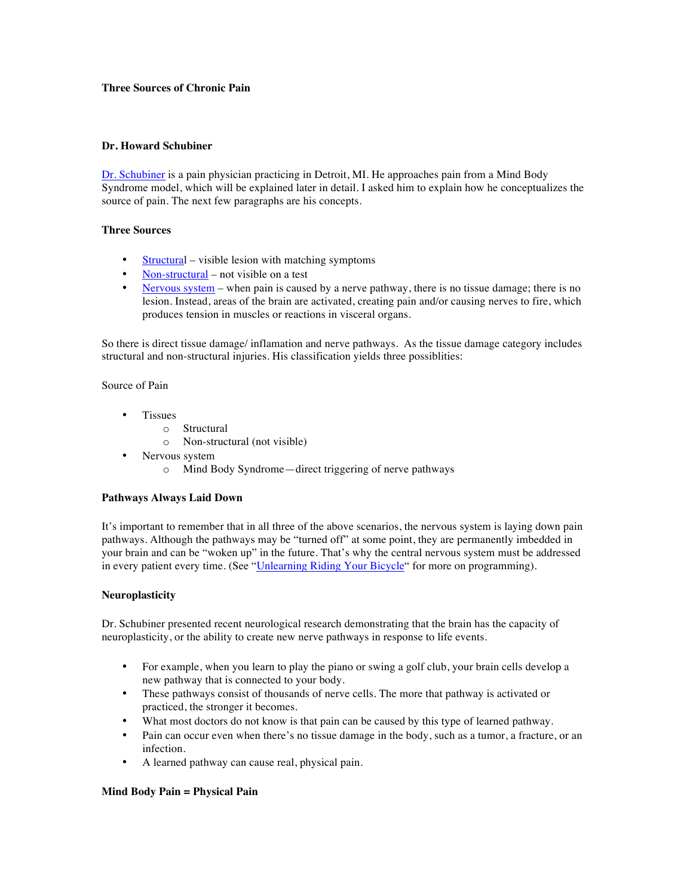# **Three Sources of Chronic Pain**

### **Dr. Howard Schubiner**

Dr. Schubiner is a pain physician practicing in Detroit, MI. He approaches pain from a Mind Body Syndrome model, which will be explained later in detail. I asked him to explain how he conceptualizes the source of pain. The next few paragraphs are his concepts.

### **Three Sources**

- Structural visible lesion with matching symptoms
- Non-structural not visible on a test
- Nervous system when pain is caused by a nerve pathway, there is no tissue damage; there is no lesion. Instead, areas of the brain are activated, creating pain and/or causing nerves to fire, which produces tension in muscles or reactions in visceral organs.

So there is direct tissue damage/ inflamation and nerve pathways. As the tissue damage category includes structural and non-structural injuries. His classification yields three possiblities:

Source of Pain

- Tissues
	- o Structural
	- o Non-structural (not visible)
- Nervous system
	- o Mind Body Syndrome—direct triggering of nerve pathways

# **Pathways Always Laid Down**

It's important to remember that in all three of the above scenarios, the nervous system is laying down pain pathways. Although the pathways may be "turned off" at some point, they are permanently imbedded in your brain and can be "woken up" in the future. That's why the central nervous system must be addressed in every patient every time. (See "Unlearning Riding Your Bicycle" for more on programming).

# **Neuroplasticity**

Dr. Schubiner presented recent neurological research demonstrating that the brain has the capacity of neuroplasticity, or the ability to create new nerve pathways in response to life events.

- For example, when you learn to play the piano or swing a golf club, your brain cells develop a new pathway that is connected to your body.
- These pathways consist of thousands of nerve cells. The more that pathway is activated or practiced, the stronger it becomes.
- What most doctors do not know is that pain can be caused by this type of learned pathway.
- Pain can occur even when there's no tissue damage in the body, such as a tumor, a fracture, or an infection.
- A learned pathway can cause real, physical pain.

#### **Mind Body Pain = Physical Pain**